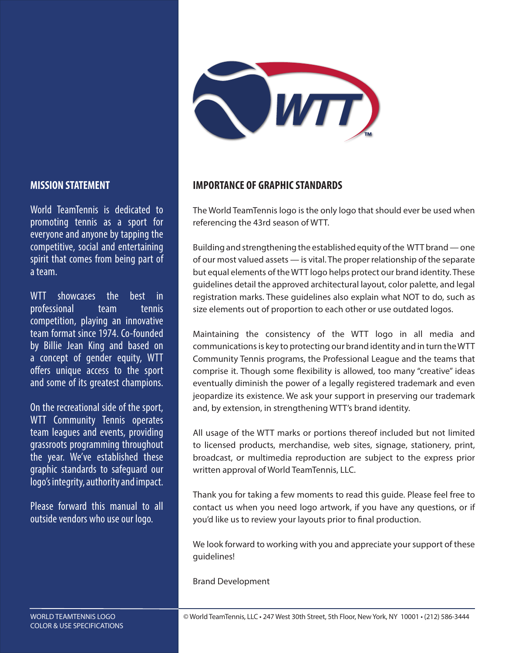

#### **MISSION STATEMENT**

World TeamTennis is dedicated to promoting tennis as a sport for everyone and anyone by tapping the competitive, social and entertaining spirit that comes from being part of a team.

WTT showcases the best in professional team tennis competition, playing an innovative team format since 1974. Co-founded by Billie Jean King and based on a concept of gender equity, WTT offers unique access to the sport and some of its greatest champions.

On the recreational side of the sport, WTT Community Tennis operates team leagues and events, providing grassroots programming throughout the year. We've established these graphic standards to safeguard our logo's integrity, authority and impact.

Please forward this manual to all outside vendors who use our logo.

#### **IMPORTANCE OF GRAPHIC STANDARDS**

The World TeamTennis logo is the only logo that should ever be used when referencing the 43rd season of WTT.

Building and strengthening the established equity of the WTT brand — one of our most valued assets — is vital. The proper relationship of the separate but equal elements of the WTT logo helps protect our brand identity. These guidelines detail the approved architectural layout, color palette, and legal registration marks. These guidelines also explain what NOT to do, such as size elements out of proportion to each other or use outdated logos.

Maintaining the consistency of the WTT logo in all media and communications is key to protecting our brand identity and in turn the WTT Community Tennis programs, the Professional League and the teams that comprise it. Though some flexibility is allowed, too many "creative" ideas eventually diminish the power of a legally registered trademark and even jeopardize its existence. We ask your support in preserving our trademark and, by extension, in strengthening WTT's brand identity.

All usage of the WTT marks or portions thereof included but not limited to licensed products, merchandise, web sites, signage, stationery, print, broadcast, or multimedia reproduction are subject to the express prior written approval of World TeamTennis, LLC.

Thank you for taking a few moments to read this guide. Please feel free to contact us when you need logo artwork, if you have any questions, or if you'd like us to review your layouts prior to final production.

We look forward to working with you and appreciate your support of these guidelines!

Brand Development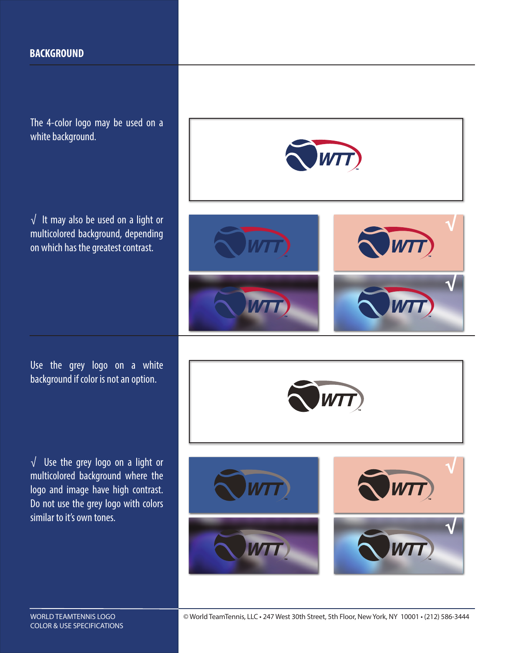#### **BACKGROUND**

The 4-color logo may be used on a white background.

√ It may also be used on a light or multicolored background, depending on which has the greatest contrast.

Use the grey logo on a white background if color is not an option.

√ Use the grey logo on a light or multicolored background where the logo and image have high contrast. Do not use the grey logo with colors similar to it's own tones.

COLOR & USE SPECIFICATIONS









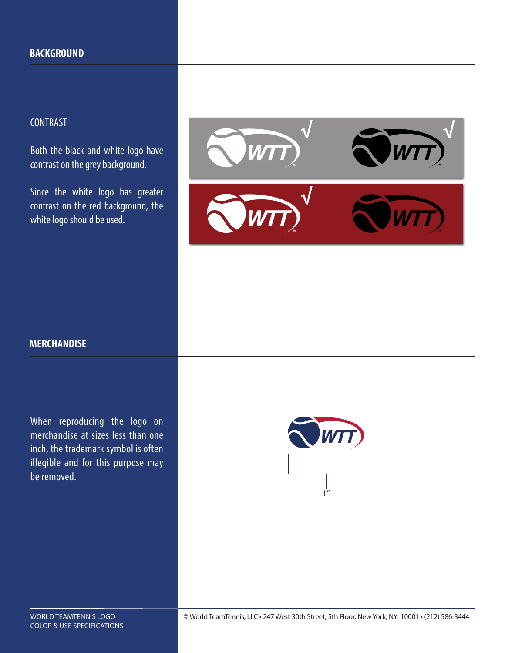## CONTRAST

Both the black and white logo have contrast on the grey background.

Since the white logo has greater contrast on the red background, the white logo should be used.



### **MERCHANDISE**

When reproducing the logo on merchandise at sizes less than one inch, the trademark symbol is often illegible and for this purpose may be removed.

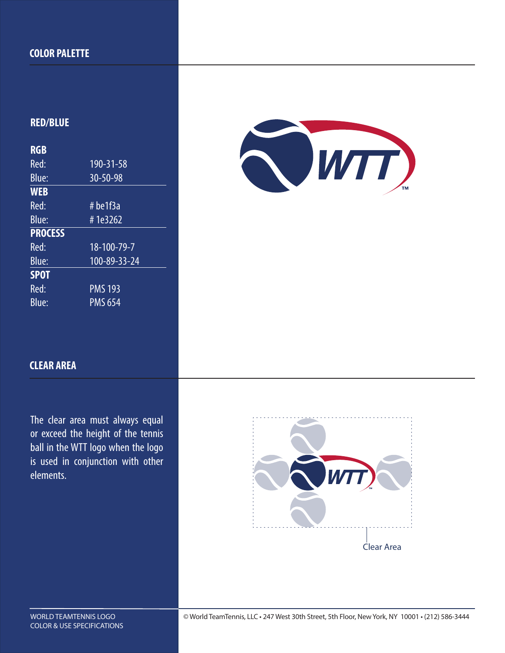#### **COLOR PALETTE**

### **RED/BLUE**

| <b>RGB</b>     |                           |
|----------------|---------------------------|
| Red:           | 190-31-58                 |
| Blue:          | 30-50-98                  |
| <b>WEB</b>     |                           |
| Red:           | #be1f3a                   |
| Blue:          | #1e3262                   |
|                |                           |
| <b>PROCESS</b> |                           |
| Red:           | $\overline{18}$ -100-79-7 |
| Blue:          | $100 - 89 - 33 - 24$      |
| <b>SPOT</b>    |                           |
| Red:           | <b>PMS 193</b>            |



## **CLEAR AREA**

The clear area must always equal or exceed the height of the tennis ball in the WTT logo when the logo is used in conjunction with other elements.